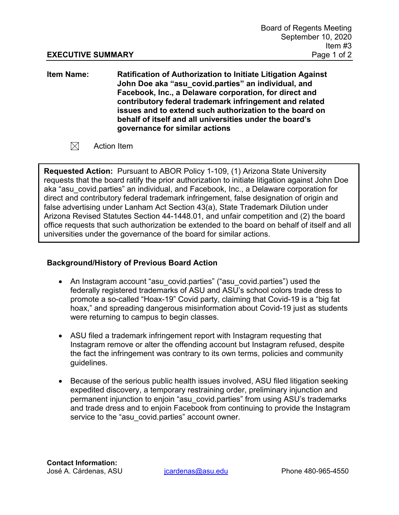**Item Name: Ratification of Authorization to Initiate Litigation Against John Doe aka "asu\_covid.parties" an individual, and Facebook, Inc., a Delaware corporation, for direct and contributory federal trademark infringement and related issues and to extend such authorization to the board on behalf of itself and all universities under the board's governance for similar actions**

 $\boxtimes$ Action Item

**Requested Action:** Pursuant to ABOR Policy 1-109, (1) Arizona State University requests that the board ratify the prior authorization to initiate litigation against John Doe aka "asu covid.parties" an individual, and Facebook, Inc., a Delaware corporation for direct and contributory federal trademark infringement, false designation of origin and false advertising under Lanham Act Section 43(a), State Trademark Dilution under Arizona Revised Statutes Section 44-1448.01, and unfair competition and (2) the board office requests that such authorization be extended to the board on behalf of itself and all universities under the governance of the board for similar actions.

## **Background/History of Previous Board Action**

- An Instagram account "asu\_covid.parties" ("asu\_covid.parties") used the federally registered trademarks of ASU and ASU's school colors trade dress to promote a so-called "Hoax-19" Covid party, claiming that Covid-19 is a "big fat hoax," and spreading dangerous misinformation about Covid-19 just as students were returning to campus to begin classes.
- ASU filed a trademark infringement report with Instagram requesting that Instagram remove or alter the offending account but Instagram refused, despite the fact the infringement was contrary to its own terms, policies and community guidelines.
- Because of the serious public health issues involved, ASU filed litigation seeking expedited discovery, a temporary restraining order, preliminary injunction and permanent injunction to enjoin "asu\_covid.parties" from using ASU's trademarks and trade dress and to enjoin Facebook from continuing to provide the Instagram service to the "asu covid.parties" account owner.